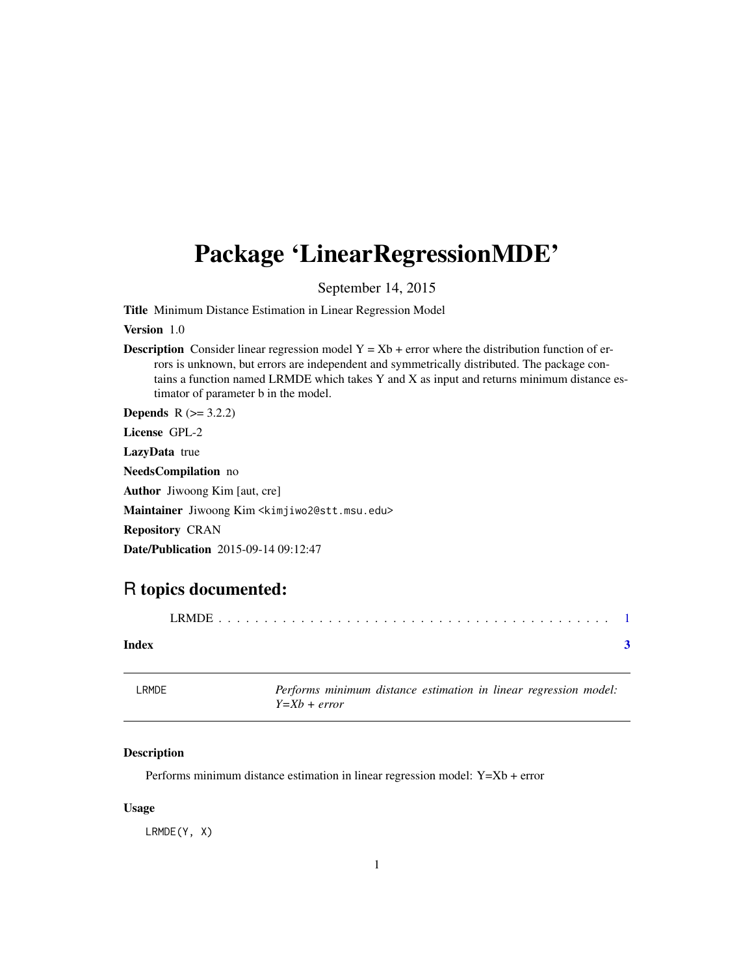## <span id="page-0-0"></span>Package 'LinearRegressionMDE'

September 14, 2015

Title Minimum Distance Estimation in Linear Regression Model

Version 1.0

**Description** Consider linear regression model  $Y = Xb +$  error where the distribution function of errors is unknown, but errors are independent and symmetrically distributed. The package contains a function named LRMDE which takes Y and X as input and returns minimum distance estimator of parameter b in the model.

**Depends** R  $(>= 3.2.2)$ License GPL-2

LazyData true

NeedsCompilation no

Author Jiwoong Kim [aut, cre]

Maintainer Jiwoong Kim <kimjiwo2@stt.msu.edu>

Repository CRAN

Date/Publication 2015-09-14 09:12:47

### R topics documented:

| Index |  |
|-------|--|

| LRMDE | Performs minimum distance estimation in linear regression model: |  |  |  |
|-------|------------------------------------------------------------------|--|--|--|
|       | $Y = Xb + error$                                                 |  |  |  |

#### Description

Performs minimum distance estimation in linear regression model: Y=Xb + error

#### Usage

LRMDE(Y, X)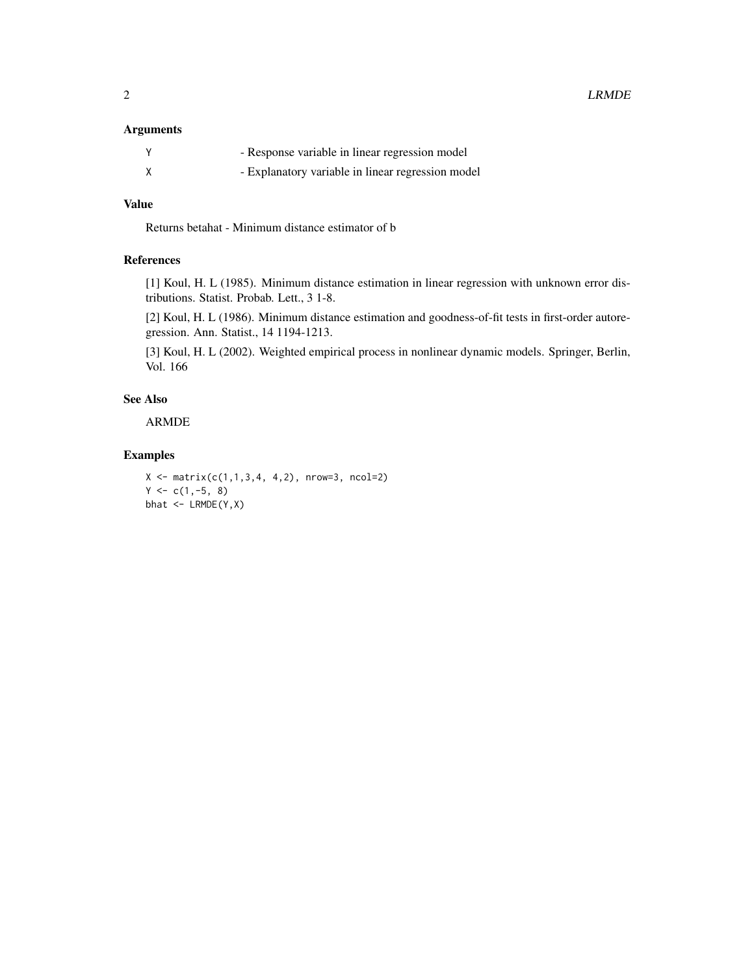#### Arguments

| - Response variable in linear regression model    |
|---------------------------------------------------|
| - Explanatory variable in linear regression model |

#### Value

Returns betahat - Minimum distance estimator of b

#### References

[1] Koul, H. L (1985). Minimum distance estimation in linear regression with unknown error distributions. Statist. Probab. Lett., 3 1-8.

[2] Koul, H. L (1986). Minimum distance estimation and goodness-of-fit tests in first-order autoregression. Ann. Statist., 14 1194-1213.

[3] Koul, H. L (2002). Weighted empirical process in nonlinear dynamic models. Springer, Berlin, Vol. 166

#### See Also

ARMDE

#### Examples

```
X \leftarrow matrix(c(1,1,3,4, 4,2), nrow=3, ncol=2)Y \leftarrow c(1, -5, 8)bhat <- LRMDE(Y,X)
```